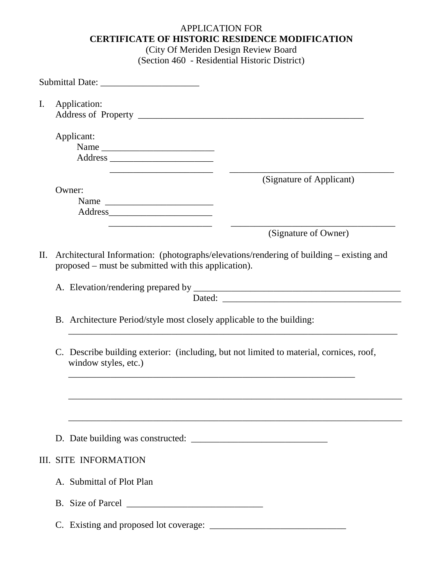## APPLICATION FOR **CERTIFICATE OF HISTORIC RESIDENCE MODIFICATION**

(City Of Meriden Design Review Board (Section 460 - Residential Historic District)

| I.  |                                                                                                                                                 | Application:                                                                                                                                                                                                                                         |  |  |
|-----|-------------------------------------------------------------------------------------------------------------------------------------------------|------------------------------------------------------------------------------------------------------------------------------------------------------------------------------------------------------------------------------------------------------|--|--|
|     |                                                                                                                                                 | Applicant:<br>Name<br>Address and the contract of the contract of the contract of the contract of the contract of the contract of the contract of the contract of the contract of the contract of the contract of the contract of the contract of th |  |  |
|     |                                                                                                                                                 | (Signature of Applicant)<br>Owner:<br>Name                                                                                                                                                                                                           |  |  |
|     |                                                                                                                                                 | (Signature of Owner)                                                                                                                                                                                                                                 |  |  |
| II. | Architectural Information: (photographs/elevations/rendering of building – existing and<br>proposed – must be submitted with this application). |                                                                                                                                                                                                                                                      |  |  |
|     |                                                                                                                                                 |                                                                                                                                                                                                                                                      |  |  |
|     |                                                                                                                                                 | B. Architecture Period/style most closely applicable to the building:                                                                                                                                                                                |  |  |
|     |                                                                                                                                                 | C. Describe building exterior: (including, but not limited to material, cornices, roof,<br>window styles, etc.)                                                                                                                                      |  |  |
|     |                                                                                                                                                 |                                                                                                                                                                                                                                                      |  |  |
|     |                                                                                                                                                 |                                                                                                                                                                                                                                                      |  |  |
|     |                                                                                                                                                 | <b>III. SITE INFORMATION</b>                                                                                                                                                                                                                         |  |  |
|     |                                                                                                                                                 | A. Submittal of Plot Plan                                                                                                                                                                                                                            |  |  |
|     |                                                                                                                                                 |                                                                                                                                                                                                                                                      |  |  |
|     |                                                                                                                                                 |                                                                                                                                                                                                                                                      |  |  |